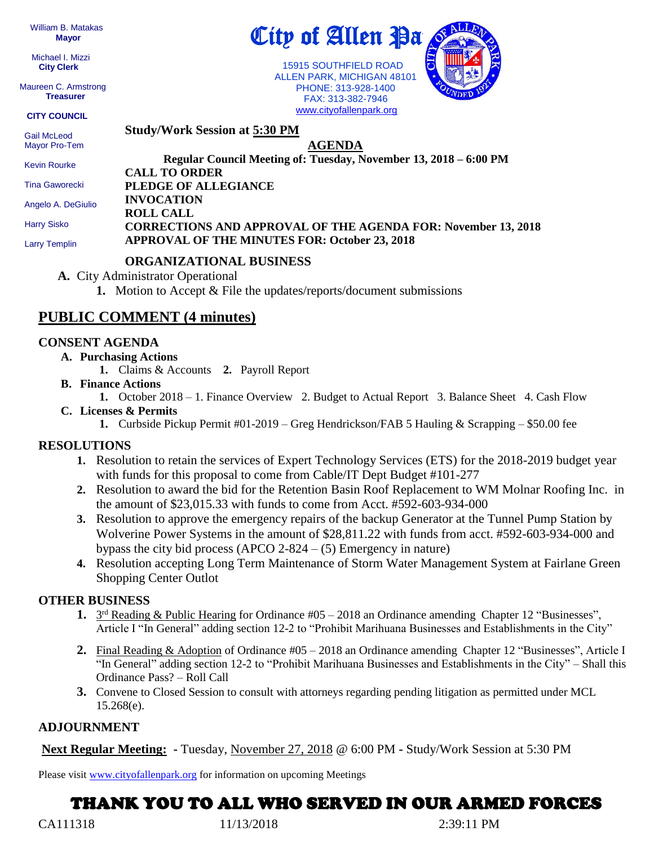William B. Matakas  **Mayor**

 Michael I. Mizzi **City Clerk**

Maureen C. Armstrong **Treasurer**

**CITY COUNCIL**

 Gail McLeod Mayor Pro-Tem

Kevin Rourke

Tina Gaworecki

Angelo A. DeGiulio

Harry Sisko

Larry Templin

# City of Allen Pa

 15915 SOUTHFIELD ROAD ALLEN PARK, MICHIGAN 48101 PHONE: 313-928-1400 FAX: 313-382-7946 [www.cityofallenpark.org](http://www.cityofallenpark.org/)



**Study/Work Session at 5:30 PM**

### **AGENDA**

**Regular Council Meeting of: Tuesday, November 13, 2018 – 6:00 PM CALL TO ORDER PLEDGE OF ALLEGIANCE INVOCATION**

**ROLL CALL**

#### **CORRECTIONS AND APPROVAL OF THE AGENDA FOR: November 13, 2018 APPROVAL OF THE MINUTES FOR: October 23, 2018**

#### **ORGANIZATIONAL BUSINESS**

**A.** City Administrator Operational

**1.** Motion to Accept & File the updates/reports/document submissions

# **PUBLIC COMMENT (4 minutes)**

#### **CONSENT AGENDA**

#### **A. Purchasing Actions**

- **1.** Claims & Accounts **2.** Payroll Report
- **B. Finance Actions**
	- **1.** October 2018 1. Finance Overview 2. Budget to Actual Report 3. Balance Sheet 4. Cash Flow

#### **C. Licenses & Permits**

**1.** Curbside Pickup Permit #01-2019 – Greg Hendrickson/FAB 5 Hauling & Scrapping – \$50.00 fee

#### **RESOLUTIONS**

- **1.** Resolution to retain the services of Expert Technology Services (ETS) for the 2018-2019 budget year with funds for this proposal to come from Cable/IT Dept Budget #101-277
- **2.** Resolution to award the bid for the Retention Basin Roof Replacement to WM Molnar Roofing Inc. in the amount of \$23,015.33 with funds to come from Acct. #592-603-934-000
- **3.** Resolution to approve the emergency repairs of the backup Generator at the Tunnel Pump Station by Wolverine Power Systems in the amount of \$28,811.22 with funds from acct. #592-603-934-000 and bypass the city bid process (APCO 2-824 –  $(5)$  Emergency in nature)
- **4.** Resolution accepting Long Term Maintenance of Storm Water Management System at Fairlane Green Shopping Center Outlot

#### **OTHER BUSINESS**

- 1. 3<sup>rd</sup> Reading & Public Hearing for Ordinance #05 2018 an Ordinance amending Chapter 12 "Businesses", Article I "In General" adding section 12-2 to "Prohibit Marihuana Businesses and Establishments in the City"
- **2.** Final Reading & Adoption of Ordinance #05 2018 an Ordinance amending Chapter 12 "Businesses", Article I "In General" adding section 12-2 to "Prohibit Marihuana Businesses and Establishments in the City" – Shall this Ordinance Pass? – Roll Call
- **3.** Convene to Closed Session to consult with attorneys regarding pending litigation as permitted under MCL 15.268(e).

#### **ADJOURNMENT**

**Next Regular Meeting: -** Tuesday, November 27, 2018 @ 6:00 PM **-** Study/Work Session at 5:30 PM

Please visit [www.cityofallenpark.org](http://www.cityofallenpark.org/) for information on upcoming Meetings

# THANK YOU TO ALL WHO SERVED IN OUR ARMED FORCES

CA111318 11/13/2018 2:39:11 PM